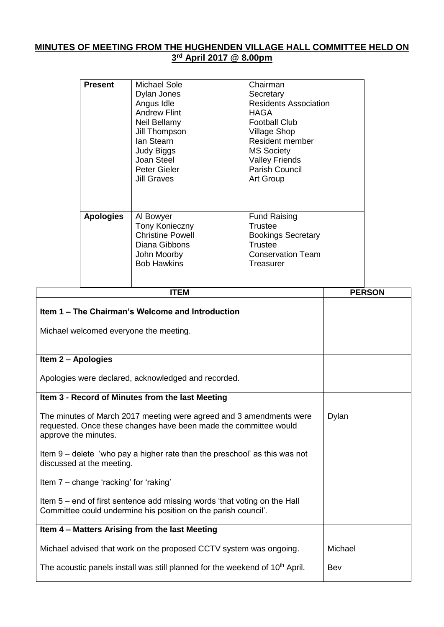## **MINUTES OF MEETING FROM THE HUGHENDEN VILLAGE HALL COMMITTEE HELD ON 3 rd April 2017 @ 8.00pm**

|                                                                                                                                                                 | <b>Present</b>   | <b>Michael Sole</b><br>Dylan Jones<br>Angus Idle<br><b>Andrew Flint</b><br>Neil Bellamy<br>Jill Thompson<br>lan Stearn<br><b>Judy Biggs</b><br>Joan Steel<br>Peter Gieler<br><b>Jill Graves</b> | Chairman<br>Secretary<br><b>Residents Association</b><br><b>HAGA</b><br><b>Football Club</b><br><b>Village Shop</b><br>Resident member<br><b>MS Society</b><br><b>Valley Friends</b><br>Parish Council<br>Art Group |               |
|-----------------------------------------------------------------------------------------------------------------------------------------------------------------|------------------|-------------------------------------------------------------------------------------------------------------------------------------------------------------------------------------------------|---------------------------------------------------------------------------------------------------------------------------------------------------------------------------------------------------------------------|---------------|
|                                                                                                                                                                 | <b>Apologies</b> | Al Bowyer<br><b>Tony Konieczny</b><br><b>Christine Powell</b><br>Diana Gibbons<br>John Moorby<br><b>Bob Hawkins</b>                                                                             | <b>Fund Raising</b><br><b>Trustee</b><br><b>Bookings Secretary</b><br><b>Trustee</b><br><b>Conservation Team</b><br>Treasurer                                                                                       |               |
|                                                                                                                                                                 |                  | <b>ITEM</b>                                                                                                                                                                                     |                                                                                                                                                                                                                     | <b>PERSON</b> |
| Item 1 – The Chairman's Welcome and Introduction<br>Michael welcomed everyone the meeting.                                                                      |                  |                                                                                                                                                                                                 |                                                                                                                                                                                                                     |               |
| Item 2 - Apologies                                                                                                                                              |                  |                                                                                                                                                                                                 |                                                                                                                                                                                                                     |               |
| Apologies were declared, acknowledged and recorded.                                                                                                             |                  |                                                                                                                                                                                                 |                                                                                                                                                                                                                     |               |
|                                                                                                                                                                 |                  | Item 3 - Record of Minutes from the last Meeting                                                                                                                                                |                                                                                                                                                                                                                     |               |
| The minutes of March 2017 meeting were agreed and 3 amendments were<br>requested. Once these changes have been made the committee would<br>approve the minutes. | Dylan            |                                                                                                                                                                                                 |                                                                                                                                                                                                                     |               |
| Item 9 – delete 'who pay a higher rate than the preschool' as this was not<br>discussed at the meeting.                                                         |                  |                                                                                                                                                                                                 |                                                                                                                                                                                                                     |               |
| Item 7 – change 'racking' for 'raking'                                                                                                                          |                  |                                                                                                                                                                                                 |                                                                                                                                                                                                                     |               |
| Item 5 – end of first sentence add missing words 'that voting on the Hall<br>Committee could undermine his position on the parish council'.                     |                  |                                                                                                                                                                                                 |                                                                                                                                                                                                                     |               |
|                                                                                                                                                                 |                  | Item 4 - Matters Arising from the last Meeting                                                                                                                                                  |                                                                                                                                                                                                                     |               |

| Michael advised that work on the proposed CCTV system was ongoing.                       | Michael |
|------------------------------------------------------------------------------------------|---------|
| The acoustic panels install was still planned for the weekend of 10 <sup>th</sup> April. | Bev     |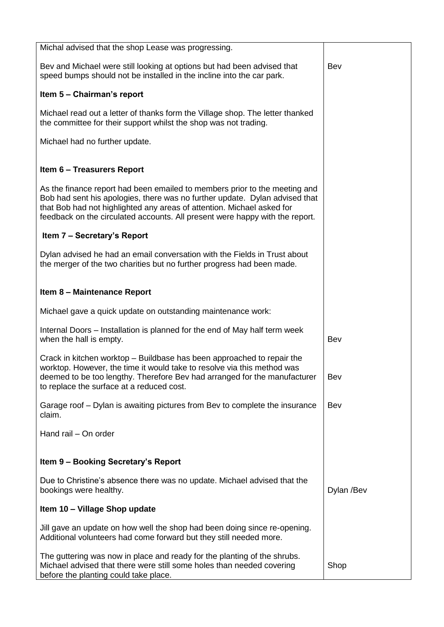| Michal advised that the shop Lease was progressing.                                                                                                                                                                                                                                                                 |            |
|---------------------------------------------------------------------------------------------------------------------------------------------------------------------------------------------------------------------------------------------------------------------------------------------------------------------|------------|
| Bev and Michael were still looking at options but had been advised that<br>speed bumps should not be installed in the incline into the car park.                                                                                                                                                                    | Bev        |
| Item 5 - Chairman's report                                                                                                                                                                                                                                                                                          |            |
| Michael read out a letter of thanks form the Village shop. The letter thanked<br>the committee for their support whilst the shop was not trading.                                                                                                                                                                   |            |
| Michael had no further update.                                                                                                                                                                                                                                                                                      |            |
| <b>Item 6 - Treasurers Report</b>                                                                                                                                                                                                                                                                                   |            |
| As the finance report had been emailed to members prior to the meeting and<br>Bob had sent his apologies, there was no further update. Dylan advised that<br>that Bob had not highlighted any areas of attention. Michael asked for<br>feedback on the circulated accounts. All present were happy with the report. |            |
| Item 7 - Secretary's Report                                                                                                                                                                                                                                                                                         |            |
| Dylan advised he had an email conversation with the Fields in Trust about<br>the merger of the two charities but no further progress had been made.                                                                                                                                                                 |            |
| Item 8 - Maintenance Report                                                                                                                                                                                                                                                                                         |            |
| Michael gave a quick update on outstanding maintenance work:                                                                                                                                                                                                                                                        |            |
| Internal Doors – Installation is planned for the end of May half term week<br>when the hall is empty.                                                                                                                                                                                                               | Bev        |
| Crack in kitchen worktop – Buildbase has been approached to repair the<br>worktop. However, the time it would take to resolve via this method was<br>deemed to be too lengthy. Therefore Bev had arranged for the manufacturer<br>to replace the surface at a reduced cost.                                         | Bev        |
| Garage roof – Dylan is awaiting pictures from Bev to complete the insurance<br>claim.                                                                                                                                                                                                                               | Bev        |
| Hand rail - On order                                                                                                                                                                                                                                                                                                |            |
| Item 9 - Booking Secretary's Report                                                                                                                                                                                                                                                                                 |            |
| Due to Christine's absence there was no update. Michael advised that the<br>bookings were healthy.                                                                                                                                                                                                                  | Dylan /Bev |
| Item 10 - Village Shop update                                                                                                                                                                                                                                                                                       |            |
| Jill gave an update on how well the shop had been doing since re-opening.<br>Additional volunteers had come forward but they still needed more.                                                                                                                                                                     |            |
| The guttering was now in place and ready for the planting of the shrubs.<br>Michael advised that there were still some holes than needed covering<br>before the planting could take place.                                                                                                                          | Shop       |